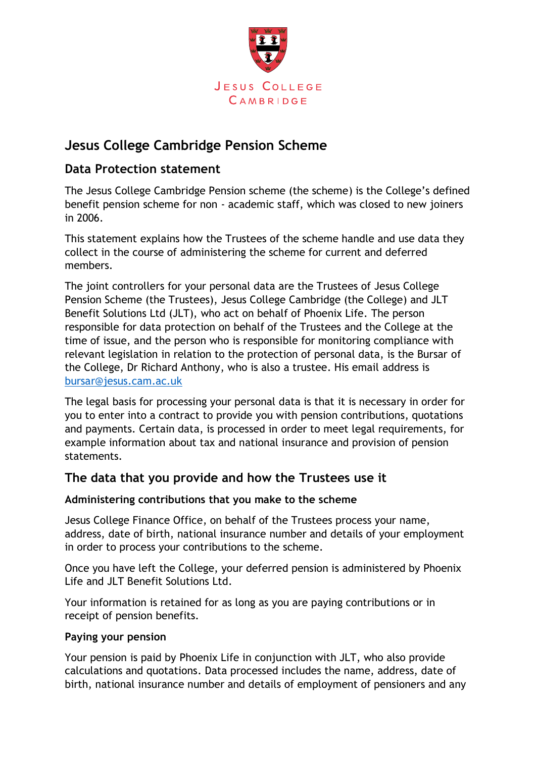

# **Jesus College Cambridge Pension Scheme**

# **Data Protection statement**

The Jesus College Cambridge Pension scheme (the scheme) is the College's defined benefit pension scheme for non - academic staff, which was closed to new joiners in 2006.

This statement explains how the Trustees of the scheme handle and use data they collect in the course of administering the scheme for current and deferred members.

The joint controllers for your personal data are the Trustees of Jesus College Pension Scheme (the Trustees), Jesus College Cambridge (the College) and JLT Benefit Solutions Ltd (JLT), who act on behalf of Phoenix Life. The person responsible for data protection on behalf of the Trustees and the College at the time of issue, and the person who is responsible for monitoring compliance with relevant legislation in relation to the protection of personal data, is the Bursar of the College, Dr Richard Anthony, who is also a trustee. His email address is [bursar@jesus.cam.ac.uk](mailto:bursar@jesus.cam.ac.uk)

The legal basis for processing your personal data is that it is necessary in order for you to enter into a contract to provide you with pension contributions, quotations and payments. Certain data, is processed in order to meet legal requirements, for example information about tax and national insurance and provision of pension statements.

# **The data that you provide and how the Trustees use it**

#### **Administering contributions that you make to the scheme**

Jesus College Finance Office, on behalf of the Trustees process your name, address, date of birth, national insurance number and details of your employment in order to process your contributions to the scheme.

Once you have left the College, your deferred pension is administered by Phoenix Life and JLT Benefit Solutions Ltd.

Your information is retained for as long as you are paying contributions or in receipt of pension benefits.

#### **Paying your pension**

Your pension is paid by Phoenix Life in conjunction with JLT, who also provide calculations and quotations. Data processed includes the name, address, date of birth, national insurance number and details of employment of pensioners and any